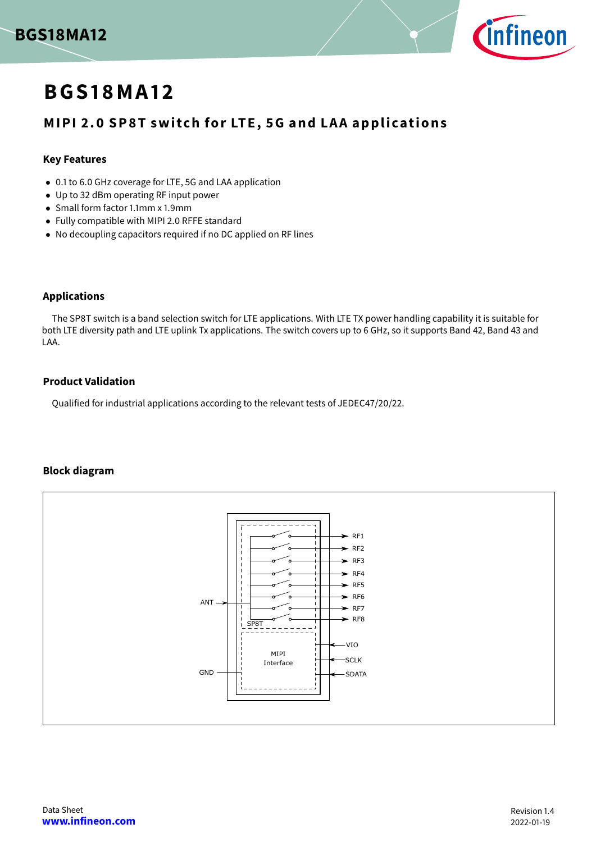



# **BGS 1 8MA 1 2**

# **MIPI 2.0 SP8T switch for LTE, 5G and LAA applications**

### **Key Features**

- 0.1 to 6.0 GHz coverage for LTE, 5G and LAA application
- Up to 32 dBm operating RF input power
- Small form factor 1.1mm x 1.9mm
- Fully compatible with MIPI 2.0 RFFE standard
- No decoupling capacitors required if no DC applied on RF lines

### **Applications**

The SP8T switch is a band selection switch for LTE applications. With LTE TX power handling capability it is suitable for both LTE diversity path and LTE uplink Tx applications. The switch covers up to 6 GHz, so it supports Band 42, Band 43 and LAA.

### **Product Validation**

Qualified for industrial applications according to the relevant tests of JEDEC47/20/22.

### **Block diagram**

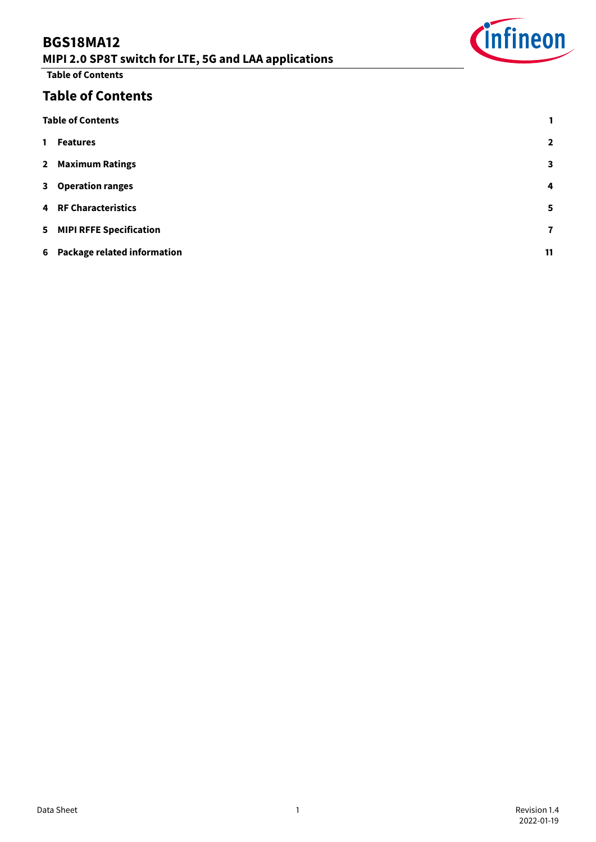# **BGS18MA12**



**Table of Contents**

# **Table of Contents**

<span id="page-1-0"></span>

| <b>Table of Contents</b>      | 1              |
|-------------------------------|----------------|
| 1 Features                    | $\overline{2}$ |
| 2 Maximum Ratings             | $\mathbf{3}$   |
| 3 Operation ranges            | $\overline{4}$ |
| <b>4 RF Characteristics</b>   | 5              |
| 5 MIPI RFFE Specification     | $\mathbf{7}$   |
| 6 Package related information | 11             |
|                               |                |

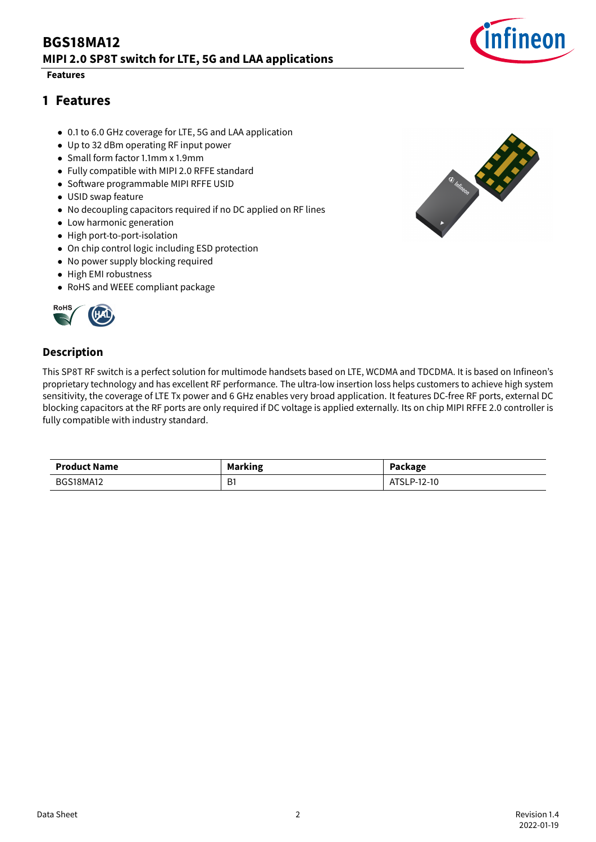#### **Features**

### <span id="page-2-0"></span>**1 Features**

- 0.1 to 6.0 GHz coverage for LTE, 5G and LAA application
- Up to 32 dBm operating RF input power
- Small form factor 1.1mm x 1.9mm
- Fully compatible with MIPI 2.0 RFFE standard
- Software programmable MIPI RFFE USID
- USID swap feature
- No decoupling capacitors required if no DC applied on RF lines
- Low harmonic generation
- High port-to-port-isolation
- On chip control logic including ESD protection
- No power supply blocking required
- High EMI robustness
- RoHS and WEEE compliant package



### **Description**

This SP8T RF switch is a perfect solution for multimode handsets based on LTE, WCDMA and TDCDMA. It is based on Infineon's proprietary technology and has excellent RF performance. The ultra-low insertion loss helps customers to achieve high system sensitivity, the coverage of LTE Tx power and 6 GHz enables very broad application. It features DC-free RF ports, external DC blocking capacitors at the RF ports are only required if DC voltage is applied externally. Its on chip MIPI RFFE 2.0 controller is fully compatible with industry standard.

| <b>Product Name</b> | <b>Marking</b> | Package                     |
|---------------------|----------------|-----------------------------|
| <b>BGS18MA12</b>    | D.<br>DI       | <b>ATC'</b><br>-12-10<br>P- |



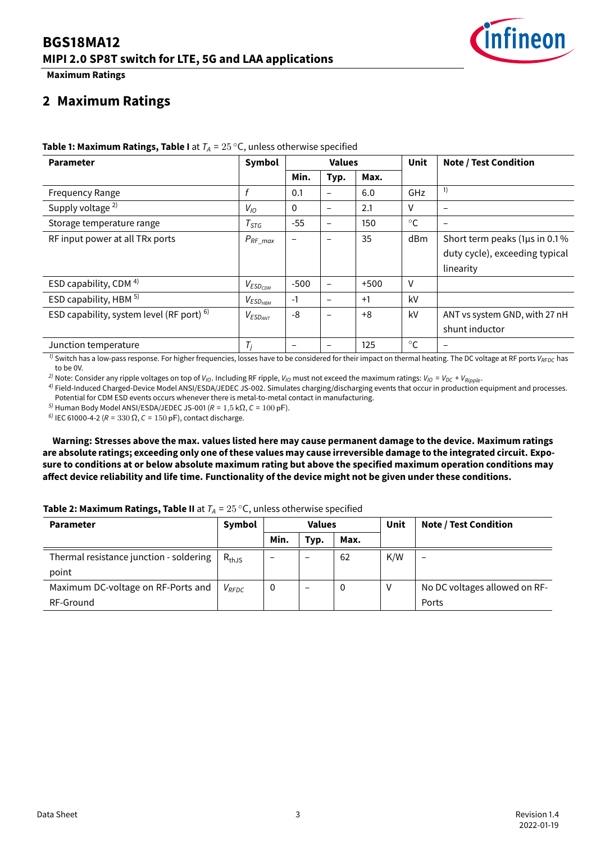

**Maximum Ratings**

### <span id="page-3-0"></span>**2 Maximum Ratings**

| <b>Parameter</b>                          | Symbol          |                          | <b>Values</b>            |        | <b>Unit</b>  | <b>Note / Test Condition</b>   |
|-------------------------------------------|-----------------|--------------------------|--------------------------|--------|--------------|--------------------------------|
|                                           |                 | Min.                     | Typ.                     | Max.   |              |                                |
| <b>Frequency Range</b>                    | f               | 0.1                      | $\overline{\phantom{0}}$ | 6.0    | GHz          | 1)                             |
| Supply voltage <sup>2)</sup>              | $V_{10}$        | $\Omega$                 | $\overline{\phantom{m}}$ | 2.1    | v            | $\overline{\phantom{0}}$       |
| Storage temperature range                 | $T_{STG}$       | $-55$                    | $\overline{\phantom{m}}$ | 150    | $^{\circ}C$  |                                |
| RF input power at all TRx ports           | $P_{RF\_max}$   | $\overline{\phantom{0}}$ |                          | 35     | dBm          | Short term peaks (1µs in 0.1%) |
|                                           |                 |                          |                          |        |              | duty cycle), exceeding typical |
|                                           |                 |                          |                          |        |              | linearity                      |
| ESD capability, CDM <sup>4)</sup>         | $V_{ESD_{CDM}}$ | $-500$                   | $\qquad \qquad -$        | $+500$ | V            |                                |
| ESD capability, HBM 5)                    | $V_{ESD_{HBM}}$ | $-1$                     | $\overline{\phantom{m}}$ | $+1$   | kV           |                                |
| ESD capability, system level (RF port) 6) | $V_{ESD_{ANT}}$ | -8                       | $\qquad \qquad -$        | $+8$   | kV           | ANT vs system GND, with 27 nH  |
|                                           |                 |                          |                          |        |              | shunt inductor                 |
| Junction temperature                      | $T_j$           | $\overline{\phantom{m}}$ |                          | 125    | $^{\circ}$ C |                                |

#### **Table 1: Maximum Ratings, Table I** at  $T_A = 25 °C$ , unless otherwise specified

 $\eta$  Switch has a low-pass response. For higher frequencies, losses have to be considered for their impact on thermal heating. The DC voltage at RF ports  $V_{REDC}$  has to be 0V.

<sup>2)</sup> Note: Consider any ripple voltages on top of  $V_{10}$ . Including RF ripple,  $V_{10}$  must not exceed the maximum ratings:  $V_{10} = V_{DC} + V_{Ripple}$ .

4) Field-Induced Charged-Device Model ANSI/ESDA/JEDEC JS-002. Simulates charging/discharging events that occur in production equipment and processes. Potential for CDM ESD events occurs whenever there is metal-to-metal contact in manufacturing.

<sup>5)</sup> Human Body Model ANSI/ESDA/JEDEC JS-001 ( $R = 1.5$  kΩ,  $C = 100$  pF).

 $^{6)}$  IEC 61000-4-2 (R = 330 Ω, C = 150 pF), contact discharge.

**Warning: Stresses above the max. values listed here may cause permanent damage to the device. Maximum ratings are absolute ratings; exceeding only one of these values may cause irreversible damage to the integrated circuit. Exposure to conditions at or below absolute maximum rating but above the specified maximum operation conditions may** affect device reliability and life time. Functionality of the device might not be given under these conditions.

### **Table 2: Maximum Ratings, Table II** at  $T_A = 25 \degree C$ , unless otherwise specified

| <b>Parameter</b>                        | Symbol     | <b>Values</b> |                          |      |     | Unit                          | <b>Note / Test Condition</b> |
|-----------------------------------------|------------|---------------|--------------------------|------|-----|-------------------------------|------------------------------|
|                                         |            | Min.          | Typ.                     | Max. |     |                               |                              |
| Thermal resistance junction - soldering | $R_{thJS}$ | -             | -                        | 62   | K/W |                               |                              |
| point                                   |            |               |                          |      |     |                               |                              |
| Maximum DC-voltage on RF-Ports and      | $V_{RFDC}$ | 0             | $\overline{\phantom{a}}$ | 0    |     | No DC voltages allowed on RF- |                              |
| RF-Ground                               |            |               |                          |      |     | Ports                         |                              |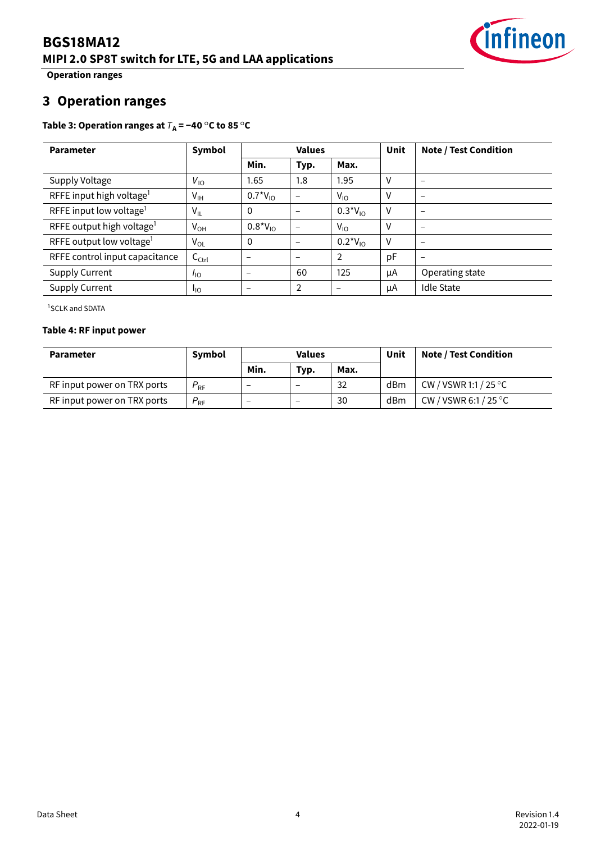

**Operation ranges**

# <span id="page-4-0"></span>**3 Operation ranges**

### <span id="page-4-2"></span>**Table 3: Operation ranges at**  $T_A = -40 °C$  to 85 °C

| <b>Parameter</b>                      | Symbol            | <b>Values</b>   |                          | <b>Unit</b>    | <b>Note / Test Condition</b> |                          |
|---------------------------------------|-------------------|-----------------|--------------------------|----------------|------------------------------|--------------------------|
|                                       |                   | Min.            | Typ.                     | Max.           |                              |                          |
| Supply Voltage                        | $V_{10}$          | 1.65            | 1.8                      | 1.95           | V                            | $\overline{\phantom{m}}$ |
| RFFE input high voltage <sup>1</sup>  | $V_{IH}$          | $0.7*V_{10}$    | -                        | $V_{10}$       | $\vee$                       | $\overline{\phantom{m}}$ |
| RFFE input low voltage <sup>1</sup>   | $V_{IL}$          | $\mathbf 0$     |                          | $0.3*V_{10}$   | V                            | $\overline{\phantom{m}}$ |
| RFFE output high voltage <sup>1</sup> | $V_{OH}$          | $0.8*V_{10}$    |                          | $V_{10}$       | $\mathsf{V}$                 | $\overline{\phantom{m}}$ |
| RFFE output low voltage <sup>1</sup>  | $V_{OL}$          | $\mathbf 0$     | $\overline{\phantom{0}}$ | $0.2*V_{10}$   | V                            | $\overline{\phantom{m}}$ |
| RFFE control input capacitance        | $C_{\text{Ctrl}}$ | -               | $\overline{\phantom{0}}$ | $\overline{2}$ | pF                           | $\overline{\phantom{m}}$ |
| <b>Supply Current</b>                 | $I_{\text{IO}}$   | $\qquad \qquad$ | 60                       | 125            | μA                           | Operating state          |
| <b>Supply Current</b>                 | <sup>1</sup> IO   |                 | 2                        |                | μA                           | <b>Idle State</b>        |

<span id="page-4-1"></span><sup>1</sup>SCLK and SDATA

#### **Table 4: RF input power**

| <b>Parameter</b>            | Symbol          | <b>Values</b> |                          |      |     | Unit                            | <b>Note / Test Condition</b> |
|-----------------------------|-----------------|---------------|--------------------------|------|-----|---------------------------------|------------------------------|
|                             |                 | Min.          | Typ.                     | Max. |     |                                 |                              |
| RF input power on TRX ports | $P_{RF}$        | -             |                          | 32   | dBm | CW / VSWR 1:1 / 25 $^{\circ}$ C |                              |
| RF input power on TRX ports | $P_{\text{RF}}$ |               | $\overline{\phantom{m}}$ | 30   | dBm | CW / VSWR 6:1 / 25 $^{\circ}$ C |                              |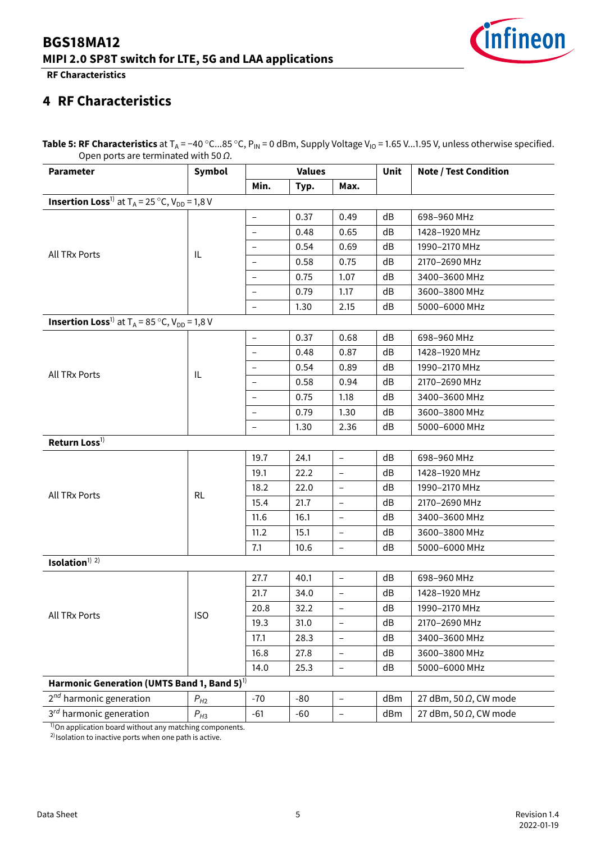

**RF Characteristics**

# <span id="page-5-0"></span>**4 RF Characteristics**

Table 5: RF Characteristics at T<sub>A</sub> = −40 °C...85 °C, P<sub>IN</sub> = 0 dBm, Supply Voltage V<sub>IO</sub> = 1.65 V...1.95 V, unless otherwise specified. Open ports are terminated with 50  $\Omega$ .

| Min.<br>Max.<br>Typ.<br><b>Insertion Loss</b> <sup>1)</sup> at $T_A = 25 \degree C$ , $V_{DD} = 1,8$ V<br>0.37<br>0.49<br>dB<br>698-960 MHz<br>$\qquad \qquad -$<br>0.48<br>0.65<br>dB<br>1428-1920 MHz<br>$\qquad \qquad -$<br>0.54<br>0.69<br>dB<br>1990-2170 MHz<br>$\overline{\phantom{a}}$<br>All TRx Ports<br>IL<br>0.58<br>dB<br>0.75<br>2170-2690 MHz<br>0.75<br>1.07<br>dB<br>3400-3600 MHz<br>$\overline{\phantom{a}}$<br>0.79<br>1.17<br>dB<br>3600-3800 MHz<br>$\qquad \qquad -$<br>1.30<br>2.15<br>dB<br>5000-6000 MHz<br>$\overline{\phantom{a}}$<br><b>Insertion Loss</b> <sup>1)</sup> at $T_A = 85 \degree C$ , $V_{DD} = 1.8 V$<br>0.37<br>0.68<br>dB<br>698-960 MHz<br>$\qquad \qquad -$<br>0.48<br>dB<br>0.87<br>1428-1920 MHz<br>0.54<br>0.89<br>dB<br>1990-2170 MHz<br>$\overline{\phantom{a}}$<br>All TRx Ports<br>IL<br>0.58<br>0.94<br>dB<br>2170-2690 MHz<br>0.75<br>1.18<br>dB<br>3400-3600 MHz<br>$\overline{\phantom{a}}$<br>0.79<br>dB<br>1.30<br>3600-3800 MHz<br>$\qquad \qquad -$<br>1.30<br>2.36<br>dB<br>5000-6000 MHz<br>$\overline{\phantom{a}}$<br>Return Loss <sup>1)</sup><br>dB<br>698-960 MHz<br>19.7<br>24.1<br>$\overline{\phantom{a}}$<br>22.2<br>dB<br>1428-1920 MHz<br>19.1<br>$\overline{\phantom{a}}$<br>dB<br>1990-2170 MHz<br>18.2<br>22.0<br>$\overline{\phantom{a}}$<br>All TRx Ports<br><b>RL</b><br>15.4<br>21.7<br>dB<br>2170-2690 MHz<br>$\qquad \qquad -$<br>11.6<br>dB<br>3400-3600 MHz<br>16.1<br>$\overline{\phantom{a}}$<br>dB<br>11.2<br>15.1<br>3600-3800 MHz<br>$\overline{\phantom{0}}$<br>dB<br>5000-6000 MHz<br>7.1<br>10.6<br>$\overline{\phantom{a}}$<br>Isolation <sup><math>1)</math> 2)</sup><br>27.7<br>698-960 MHz<br>40.1<br>dB<br>$\overline{\phantom{a}}$<br>21.7<br>34.0<br>dB<br>1428-1920 MHz<br>$\overline{\phantom{a}}$<br>32.2<br>20.8<br>dB<br>1990-2170 MHz<br><b>ISO</b><br>All TRx Ports<br>19.3<br>31.0<br>dB<br>2170-2690 MHz<br>$\overline{\phantom{a}}$<br>3400-3600 MHz<br>28.3<br>17.1<br>dB<br>$\overline{\phantom{a}}$<br>16.8<br>dB<br>3600-3800 MHz<br>27.8<br>$\qquad \qquad -$<br>14.0<br>dB<br>5000-6000 MHz<br>25.3<br>$\overline{\phantom{m}}$<br>Harmonic Generation (UMTS Band 1, Band 5) <sup>1)</sup><br>2 <sup>nd</sup> harmonic generation<br>$-70$<br>dBm<br>27 dBm, 50 Ω, CW mode<br>$P_{H2}$<br>$-80$<br>$\overline{\phantom{a}}$<br>$3^{rd}$ harmonic generation<br>27 dBm, 50 Ω, CW mode<br>$-61$<br>$-60$<br>dBm<br>$\overline{\phantom{m}}$ | <b>Parameter</b> | Symbol   | <b>Values</b> |  | Unit | <b>Note / Test Condition</b> |  |  |  |
|-----------------------------------------------------------------------------------------------------------------------------------------------------------------------------------------------------------------------------------------------------------------------------------------------------------------------------------------------------------------------------------------------------------------------------------------------------------------------------------------------------------------------------------------------------------------------------------------------------------------------------------------------------------------------------------------------------------------------------------------------------------------------------------------------------------------------------------------------------------------------------------------------------------------------------------------------------------------------------------------------------------------------------------------------------------------------------------------------------------------------------------------------------------------------------------------------------------------------------------------------------------------------------------------------------------------------------------------------------------------------------------------------------------------------------------------------------------------------------------------------------------------------------------------------------------------------------------------------------------------------------------------------------------------------------------------------------------------------------------------------------------------------------------------------------------------------------------------------------------------------------------------------------------------------------------------------------------------------------------------------------------------------------------------------------------------------------------------------------------------------------------------------------------------------------------------------------------------------------------------------------------------------------------------------------------------------------------------------------------------------------------------------------------------------------------------------------------------|------------------|----------|---------------|--|------|------------------------------|--|--|--|
|                                                                                                                                                                                                                                                                                                                                                                                                                                                                                                                                                                                                                                                                                                                                                                                                                                                                                                                                                                                                                                                                                                                                                                                                                                                                                                                                                                                                                                                                                                                                                                                                                                                                                                                                                                                                                                                                                                                                                                                                                                                                                                                                                                                                                                                                                                                                                                                                                                                                 |                  |          |               |  |      |                              |  |  |  |
|                                                                                                                                                                                                                                                                                                                                                                                                                                                                                                                                                                                                                                                                                                                                                                                                                                                                                                                                                                                                                                                                                                                                                                                                                                                                                                                                                                                                                                                                                                                                                                                                                                                                                                                                                                                                                                                                                                                                                                                                                                                                                                                                                                                                                                                                                                                                                                                                                                                                 |                  |          |               |  |      |                              |  |  |  |
|                                                                                                                                                                                                                                                                                                                                                                                                                                                                                                                                                                                                                                                                                                                                                                                                                                                                                                                                                                                                                                                                                                                                                                                                                                                                                                                                                                                                                                                                                                                                                                                                                                                                                                                                                                                                                                                                                                                                                                                                                                                                                                                                                                                                                                                                                                                                                                                                                                                                 |                  |          |               |  |      |                              |  |  |  |
|                                                                                                                                                                                                                                                                                                                                                                                                                                                                                                                                                                                                                                                                                                                                                                                                                                                                                                                                                                                                                                                                                                                                                                                                                                                                                                                                                                                                                                                                                                                                                                                                                                                                                                                                                                                                                                                                                                                                                                                                                                                                                                                                                                                                                                                                                                                                                                                                                                                                 |                  |          |               |  |      |                              |  |  |  |
|                                                                                                                                                                                                                                                                                                                                                                                                                                                                                                                                                                                                                                                                                                                                                                                                                                                                                                                                                                                                                                                                                                                                                                                                                                                                                                                                                                                                                                                                                                                                                                                                                                                                                                                                                                                                                                                                                                                                                                                                                                                                                                                                                                                                                                                                                                                                                                                                                                                                 |                  |          |               |  |      |                              |  |  |  |
|                                                                                                                                                                                                                                                                                                                                                                                                                                                                                                                                                                                                                                                                                                                                                                                                                                                                                                                                                                                                                                                                                                                                                                                                                                                                                                                                                                                                                                                                                                                                                                                                                                                                                                                                                                                                                                                                                                                                                                                                                                                                                                                                                                                                                                                                                                                                                                                                                                                                 |                  |          |               |  |      |                              |  |  |  |
|                                                                                                                                                                                                                                                                                                                                                                                                                                                                                                                                                                                                                                                                                                                                                                                                                                                                                                                                                                                                                                                                                                                                                                                                                                                                                                                                                                                                                                                                                                                                                                                                                                                                                                                                                                                                                                                                                                                                                                                                                                                                                                                                                                                                                                                                                                                                                                                                                                                                 |                  |          |               |  |      |                              |  |  |  |
|                                                                                                                                                                                                                                                                                                                                                                                                                                                                                                                                                                                                                                                                                                                                                                                                                                                                                                                                                                                                                                                                                                                                                                                                                                                                                                                                                                                                                                                                                                                                                                                                                                                                                                                                                                                                                                                                                                                                                                                                                                                                                                                                                                                                                                                                                                                                                                                                                                                                 |                  |          |               |  |      |                              |  |  |  |
|                                                                                                                                                                                                                                                                                                                                                                                                                                                                                                                                                                                                                                                                                                                                                                                                                                                                                                                                                                                                                                                                                                                                                                                                                                                                                                                                                                                                                                                                                                                                                                                                                                                                                                                                                                                                                                                                                                                                                                                                                                                                                                                                                                                                                                                                                                                                                                                                                                                                 |                  |          |               |  |      |                              |  |  |  |
|                                                                                                                                                                                                                                                                                                                                                                                                                                                                                                                                                                                                                                                                                                                                                                                                                                                                                                                                                                                                                                                                                                                                                                                                                                                                                                                                                                                                                                                                                                                                                                                                                                                                                                                                                                                                                                                                                                                                                                                                                                                                                                                                                                                                                                                                                                                                                                                                                                                                 |                  |          |               |  |      |                              |  |  |  |
|                                                                                                                                                                                                                                                                                                                                                                                                                                                                                                                                                                                                                                                                                                                                                                                                                                                                                                                                                                                                                                                                                                                                                                                                                                                                                                                                                                                                                                                                                                                                                                                                                                                                                                                                                                                                                                                                                                                                                                                                                                                                                                                                                                                                                                                                                                                                                                                                                                                                 |                  |          |               |  |      |                              |  |  |  |
|                                                                                                                                                                                                                                                                                                                                                                                                                                                                                                                                                                                                                                                                                                                                                                                                                                                                                                                                                                                                                                                                                                                                                                                                                                                                                                                                                                                                                                                                                                                                                                                                                                                                                                                                                                                                                                                                                                                                                                                                                                                                                                                                                                                                                                                                                                                                                                                                                                                                 |                  |          |               |  |      |                              |  |  |  |
|                                                                                                                                                                                                                                                                                                                                                                                                                                                                                                                                                                                                                                                                                                                                                                                                                                                                                                                                                                                                                                                                                                                                                                                                                                                                                                                                                                                                                                                                                                                                                                                                                                                                                                                                                                                                                                                                                                                                                                                                                                                                                                                                                                                                                                                                                                                                                                                                                                                                 |                  |          |               |  |      |                              |  |  |  |
|                                                                                                                                                                                                                                                                                                                                                                                                                                                                                                                                                                                                                                                                                                                                                                                                                                                                                                                                                                                                                                                                                                                                                                                                                                                                                                                                                                                                                                                                                                                                                                                                                                                                                                                                                                                                                                                                                                                                                                                                                                                                                                                                                                                                                                                                                                                                                                                                                                                                 |                  |          |               |  |      |                              |  |  |  |
|                                                                                                                                                                                                                                                                                                                                                                                                                                                                                                                                                                                                                                                                                                                                                                                                                                                                                                                                                                                                                                                                                                                                                                                                                                                                                                                                                                                                                                                                                                                                                                                                                                                                                                                                                                                                                                                                                                                                                                                                                                                                                                                                                                                                                                                                                                                                                                                                                                                                 |                  |          |               |  |      |                              |  |  |  |
|                                                                                                                                                                                                                                                                                                                                                                                                                                                                                                                                                                                                                                                                                                                                                                                                                                                                                                                                                                                                                                                                                                                                                                                                                                                                                                                                                                                                                                                                                                                                                                                                                                                                                                                                                                                                                                                                                                                                                                                                                                                                                                                                                                                                                                                                                                                                                                                                                                                                 |                  |          |               |  |      |                              |  |  |  |
|                                                                                                                                                                                                                                                                                                                                                                                                                                                                                                                                                                                                                                                                                                                                                                                                                                                                                                                                                                                                                                                                                                                                                                                                                                                                                                                                                                                                                                                                                                                                                                                                                                                                                                                                                                                                                                                                                                                                                                                                                                                                                                                                                                                                                                                                                                                                                                                                                                                                 |                  |          |               |  |      |                              |  |  |  |
|                                                                                                                                                                                                                                                                                                                                                                                                                                                                                                                                                                                                                                                                                                                                                                                                                                                                                                                                                                                                                                                                                                                                                                                                                                                                                                                                                                                                                                                                                                                                                                                                                                                                                                                                                                                                                                                                                                                                                                                                                                                                                                                                                                                                                                                                                                                                                                                                                                                                 |                  |          |               |  |      |                              |  |  |  |
|                                                                                                                                                                                                                                                                                                                                                                                                                                                                                                                                                                                                                                                                                                                                                                                                                                                                                                                                                                                                                                                                                                                                                                                                                                                                                                                                                                                                                                                                                                                                                                                                                                                                                                                                                                                                                                                                                                                                                                                                                                                                                                                                                                                                                                                                                                                                                                                                                                                                 |                  |          |               |  |      |                              |  |  |  |
|                                                                                                                                                                                                                                                                                                                                                                                                                                                                                                                                                                                                                                                                                                                                                                                                                                                                                                                                                                                                                                                                                                                                                                                                                                                                                                                                                                                                                                                                                                                                                                                                                                                                                                                                                                                                                                                                                                                                                                                                                                                                                                                                                                                                                                                                                                                                                                                                                                                                 |                  |          |               |  |      |                              |  |  |  |
|                                                                                                                                                                                                                                                                                                                                                                                                                                                                                                                                                                                                                                                                                                                                                                                                                                                                                                                                                                                                                                                                                                                                                                                                                                                                                                                                                                                                                                                                                                                                                                                                                                                                                                                                                                                                                                                                                                                                                                                                                                                                                                                                                                                                                                                                                                                                                                                                                                                                 |                  |          |               |  |      |                              |  |  |  |
|                                                                                                                                                                                                                                                                                                                                                                                                                                                                                                                                                                                                                                                                                                                                                                                                                                                                                                                                                                                                                                                                                                                                                                                                                                                                                                                                                                                                                                                                                                                                                                                                                                                                                                                                                                                                                                                                                                                                                                                                                                                                                                                                                                                                                                                                                                                                                                                                                                                                 |                  |          |               |  |      |                              |  |  |  |
|                                                                                                                                                                                                                                                                                                                                                                                                                                                                                                                                                                                                                                                                                                                                                                                                                                                                                                                                                                                                                                                                                                                                                                                                                                                                                                                                                                                                                                                                                                                                                                                                                                                                                                                                                                                                                                                                                                                                                                                                                                                                                                                                                                                                                                                                                                                                                                                                                                                                 |                  |          |               |  |      |                              |  |  |  |
|                                                                                                                                                                                                                                                                                                                                                                                                                                                                                                                                                                                                                                                                                                                                                                                                                                                                                                                                                                                                                                                                                                                                                                                                                                                                                                                                                                                                                                                                                                                                                                                                                                                                                                                                                                                                                                                                                                                                                                                                                                                                                                                                                                                                                                                                                                                                                                                                                                                                 |                  |          |               |  |      |                              |  |  |  |
|                                                                                                                                                                                                                                                                                                                                                                                                                                                                                                                                                                                                                                                                                                                                                                                                                                                                                                                                                                                                                                                                                                                                                                                                                                                                                                                                                                                                                                                                                                                                                                                                                                                                                                                                                                                                                                                                                                                                                                                                                                                                                                                                                                                                                                                                                                                                                                                                                                                                 |                  |          |               |  |      |                              |  |  |  |
|                                                                                                                                                                                                                                                                                                                                                                                                                                                                                                                                                                                                                                                                                                                                                                                                                                                                                                                                                                                                                                                                                                                                                                                                                                                                                                                                                                                                                                                                                                                                                                                                                                                                                                                                                                                                                                                                                                                                                                                                                                                                                                                                                                                                                                                                                                                                                                                                                                                                 |                  |          |               |  |      |                              |  |  |  |
|                                                                                                                                                                                                                                                                                                                                                                                                                                                                                                                                                                                                                                                                                                                                                                                                                                                                                                                                                                                                                                                                                                                                                                                                                                                                                                                                                                                                                                                                                                                                                                                                                                                                                                                                                                                                                                                                                                                                                                                                                                                                                                                                                                                                                                                                                                                                                                                                                                                                 |                  |          |               |  |      |                              |  |  |  |
|                                                                                                                                                                                                                                                                                                                                                                                                                                                                                                                                                                                                                                                                                                                                                                                                                                                                                                                                                                                                                                                                                                                                                                                                                                                                                                                                                                                                                                                                                                                                                                                                                                                                                                                                                                                                                                                                                                                                                                                                                                                                                                                                                                                                                                                                                                                                                                                                                                                                 |                  |          |               |  |      |                              |  |  |  |
|                                                                                                                                                                                                                                                                                                                                                                                                                                                                                                                                                                                                                                                                                                                                                                                                                                                                                                                                                                                                                                                                                                                                                                                                                                                                                                                                                                                                                                                                                                                                                                                                                                                                                                                                                                                                                                                                                                                                                                                                                                                                                                                                                                                                                                                                                                                                                                                                                                                                 |                  |          |               |  |      |                              |  |  |  |
|                                                                                                                                                                                                                                                                                                                                                                                                                                                                                                                                                                                                                                                                                                                                                                                                                                                                                                                                                                                                                                                                                                                                                                                                                                                                                                                                                                                                                                                                                                                                                                                                                                                                                                                                                                                                                                                                                                                                                                                                                                                                                                                                                                                                                                                                                                                                                                                                                                                                 |                  |          |               |  |      |                              |  |  |  |
|                                                                                                                                                                                                                                                                                                                                                                                                                                                                                                                                                                                                                                                                                                                                                                                                                                                                                                                                                                                                                                                                                                                                                                                                                                                                                                                                                                                                                                                                                                                                                                                                                                                                                                                                                                                                                                                                                                                                                                                                                                                                                                                                                                                                                                                                                                                                                                                                                                                                 |                  |          |               |  |      |                              |  |  |  |
|                                                                                                                                                                                                                                                                                                                                                                                                                                                                                                                                                                                                                                                                                                                                                                                                                                                                                                                                                                                                                                                                                                                                                                                                                                                                                                                                                                                                                                                                                                                                                                                                                                                                                                                                                                                                                                                                                                                                                                                                                                                                                                                                                                                                                                                                                                                                                                                                                                                                 |                  |          |               |  |      |                              |  |  |  |
|                                                                                                                                                                                                                                                                                                                                                                                                                                                                                                                                                                                                                                                                                                                                                                                                                                                                                                                                                                                                                                                                                                                                                                                                                                                                                                                                                                                                                                                                                                                                                                                                                                                                                                                                                                                                                                                                                                                                                                                                                                                                                                                                                                                                                                                                                                                                                                                                                                                                 |                  |          |               |  |      |                              |  |  |  |
|                                                                                                                                                                                                                                                                                                                                                                                                                                                                                                                                                                                                                                                                                                                                                                                                                                                                                                                                                                                                                                                                                                                                                                                                                                                                                                                                                                                                                                                                                                                                                                                                                                                                                                                                                                                                                                                                                                                                                                                                                                                                                                                                                                                                                                                                                                                                                                                                                                                                 |                  |          |               |  |      |                              |  |  |  |
|                                                                                                                                                                                                                                                                                                                                                                                                                                                                                                                                                                                                                                                                                                                                                                                                                                                                                                                                                                                                                                                                                                                                                                                                                                                                                                                                                                                                                                                                                                                                                                                                                                                                                                                                                                                                                                                                                                                                                                                                                                                                                                                                                                                                                                                                                                                                                                                                                                                                 |                  |          |               |  |      |                              |  |  |  |
|                                                                                                                                                                                                                                                                                                                                                                                                                                                                                                                                                                                                                                                                                                                                                                                                                                                                                                                                                                                                                                                                                                                                                                                                                                                                                                                                                                                                                                                                                                                                                                                                                                                                                                                                                                                                                                                                                                                                                                                                                                                                                                                                                                                                                                                                                                                                                                                                                                                                 |                  | $P_{H3}$ |               |  |      |                              |  |  |  |

<sup>1)</sup>On application board without any matching components.

<sup>2)</sup> Isolation to inactive ports when one path is active.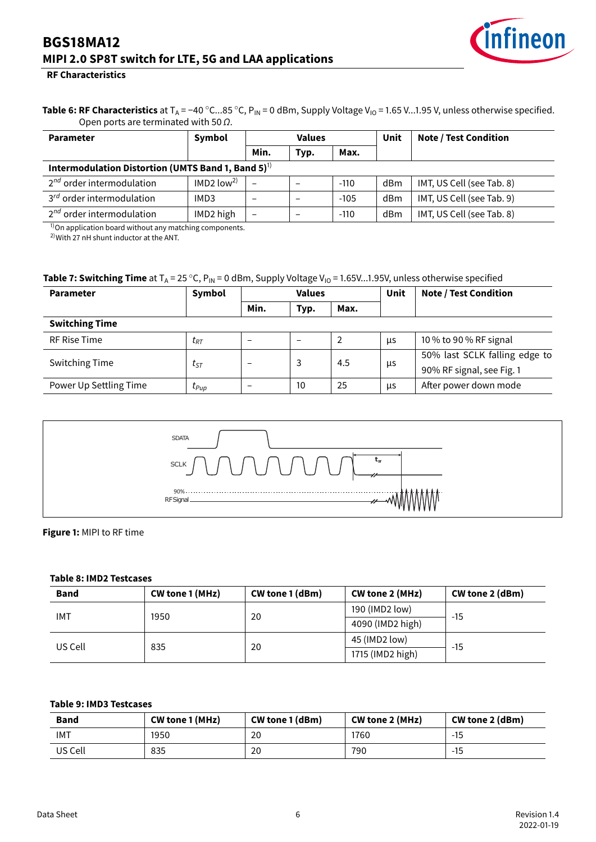

#### **RF Characteristics**

Table 6: RF Characteristics at T<sub>A</sub> = −40 °C...85 °C, P<sub>IN</sub> = 0 dBm, Supply Voltage V<sub>IO</sub> = 1.65 V...1.95 V, unless otherwise specified. Open ports are terminated with 50  $\Omega$ .

| <b>Parameter</b>                                                  | Symbol<br><b>Values</b>  |                 |              | Unit   | <b>Note / Test Condition</b> |                           |  |  |
|-------------------------------------------------------------------|--------------------------|-----------------|--------------|--------|------------------------------|---------------------------|--|--|
|                                                                   |                          | Min.            | Max.<br>Typ. |        |                              |                           |  |  |
| Intermodulation Distortion (UMTS Band 1, Band $5$ ) <sup>1)</sup> |                          |                 |              |        |                              |                           |  |  |
| $2^{nd}$ order intermodulation                                    | $IMD2$ low <sup>2)</sup> | $\qquad \qquad$ | -            | $-110$ | dBm                          | IMT, US Cell (see Tab. 8) |  |  |
| $3^{rd}$ order intermodulation                                    | IMD3                     |                 | -            | $-105$ | dBm                          | IMT, US Cell (see Tab. 9) |  |  |
| $2^{nd}$ order intermodulation                                    | IMD2 high                |                 |              | $-110$ | dBm                          | IMT, US Cell (see Tab. 8) |  |  |

<sup>1)</sup>On application board without any matching components.

 $2)$ With 27 nH shunt inductor at the ANT.

#### **Table 7: Switching Time** at  $T_A = 25 \degree C$ ,  $P_{IN} = 0$  dBm, Supply Voltage V<sub>IO</sub> = 1.65V...1.95V, unless otherwise specified

| <b>Parameter</b>       | Symbol    | <b>Values</b> |      |      | Unit | <b>Note / Test Condition</b>  |  |  |
|------------------------|-----------|---------------|------|------|------|-------------------------------|--|--|
|                        |           | Min.          | Typ. | Max. |      |                               |  |  |
| <b>Switching Time</b>  |           |               |      |      |      |                               |  |  |
| <b>RF Rise Time</b>    | $t_{RT}$  |               |      |      | μs   | 10 % to 90 % RF signal        |  |  |
| <b>Switching Time</b>  |           |               | 3    | 4.5  |      | 50% last SCLK falling edge to |  |  |
|                        | $t_{ST}$  | -             |      |      | μs   | 90% RF signal, see Fig. 1     |  |  |
| Power Up Settling Time | $t_{Pup}$ |               | 10   | 25   | μs   | After power down mode         |  |  |

<span id="page-6-2"></span>

#### **Figure 1:** MIPI to RF time

#### <span id="page-6-0"></span>**Table 8: IMD2 Testcases**

| <b>Band</b> | CW tone 1 (MHz) | <b>CW tone 1 (dBm)</b> | CW tone 2 (MHz)  | CW tone 2 (dBm) |  |
|-------------|-----------------|------------------------|------------------|-----------------|--|
| <b>IMT</b>  | 1950            | 20                     | 190 (IMD2 low)   | $-15$           |  |
|             |                 |                        | 4090 (IMD2 high) |                 |  |
| US Cell     | 835             | 20                     | 45 (IMD2 low)    | $-15$           |  |
|             |                 |                        | 1715 (IMD2 high) |                 |  |

#### <span id="page-6-1"></span>**Table 9: IMD3 Testcases**

| <b>Band</b> | CW tone 1 (MHz) | CW tone 1 (dBm) | CW tone 2 (MHz) | CW tone 2 (dBm) |
|-------------|-----------------|-----------------|-----------------|-----------------|
| IMT         | 1950            | 20              | '760            | -15             |
| US Cell     | 835             | 20              | 790             | -15             |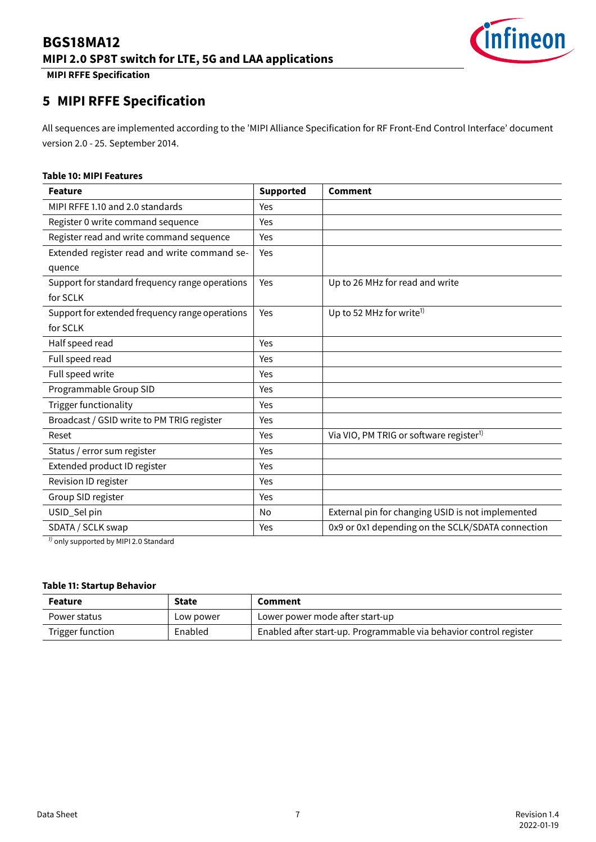

**MIPI RFFE Specification**

# <span id="page-7-0"></span>**5 MIPI RFFE Specification**

All sequences are implemented according to the 'MIPI Alliance Specification for RF Front-End Control Interface' document version 2.0 - 25. September 2014.

#### **Table 10: MIPI Features**

| <b>Supported</b> | <b>Comment</b>                                      |
|------------------|-----------------------------------------------------|
| Yes              |                                                     |
| Yes              |                                                     |
| Yes              |                                                     |
| Yes              |                                                     |
|                  |                                                     |
| Yes              | Up to 26 MHz for read and write                     |
|                  |                                                     |
| Yes              | Up to 52 MHz for write <sup>1)</sup>                |
|                  |                                                     |
| Yes              |                                                     |
| Yes              |                                                     |
| Yes              |                                                     |
| Yes              |                                                     |
| Yes              |                                                     |
| Yes              |                                                     |
| Yes              | Via VIO, PM TRIG or software register <sup>1)</sup> |
| Yes              |                                                     |
| Yes              |                                                     |
| Yes              |                                                     |
| Yes              |                                                     |
| No               | External pin for changing USID is not implemented   |
| Yes              | 0x9 or 0x1 depending on the SCLK/SDATA connection   |
|                  |                                                     |

 $1$ ) only supported by MIPI 2.0 Standard

#### **Table 11: Startup Behavior**

| <b>State</b><br><b>Feature</b><br>Comment |           |                                                                    |  |
|-------------------------------------------|-----------|--------------------------------------------------------------------|--|
| Power status                              | Low power | Lower power mode after start-up                                    |  |
| Trigger function                          | Enabled   | Enabled after start-up. Programmable via behavior control register |  |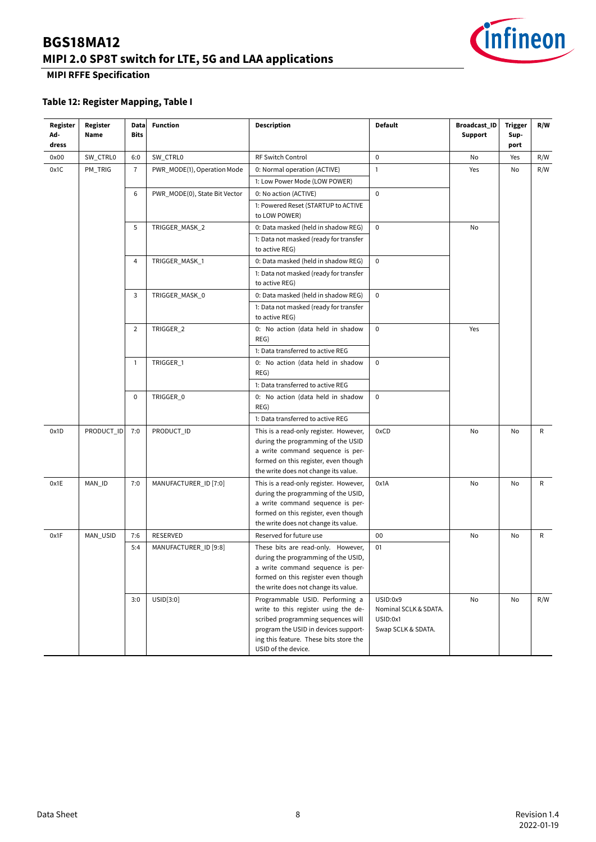

### **MIPI RFFE Specification**

### **Table 12: Register Mapping, Table I**

| Register<br>Ad-<br>dress | Register<br>Name | Data<br>Bits   | <b>Function</b>                           | <b>Description</b>                                                                                                                                                                                                     | <b>Default</b>                                                      | <b>Broadcast_ID</b><br><b>Support</b> | Trigger<br>Sup-<br>port | R/W |
|--------------------------|------------------|----------------|-------------------------------------------|------------------------------------------------------------------------------------------------------------------------------------------------------------------------------------------------------------------------|---------------------------------------------------------------------|---------------------------------------|-------------------------|-----|
| 0x00                     | SW_CTRL0         | 6:0            | SW_CTRL0                                  | RF Switch Control                                                                                                                                                                                                      | $\pmb{0}$                                                           | No                                    | Yes                     | R/W |
| 0x1C                     | PM_TRIG          | 7              | PWR_MODE(1), Operation Mode               | 0: Normal operation (ACTIVE)                                                                                                                                                                                           | 1                                                                   | Yes                                   | No                      | R/W |
|                          |                  |                |                                           | 1: Low Power Mode (LOW POWER)                                                                                                                                                                                          |                                                                     |                                       |                         |     |
|                          |                  | 6              | PWR_MODE(0), State Bit Vector             | 0: No action (ACTIVE)                                                                                                                                                                                                  | $\mathbf 0$                                                         |                                       |                         |     |
|                          |                  |                |                                           | 1: Powered Reset (STARTUP to ACTIVE<br>to LOW POWER)                                                                                                                                                                   |                                                                     |                                       |                         |     |
|                          |                  | 5              | TRIGGER_MASK_2                            | 0: Data masked (held in shadow REG)                                                                                                                                                                                    | $\mathbf 0$                                                         | No                                    |                         |     |
|                          |                  |                |                                           | 1: Data not masked (ready for transfer<br>to active REG)                                                                                                                                                               |                                                                     |                                       |                         |     |
|                          |                  | 4              | TRIGGER_MASK_1                            | 0: Data masked (held in shadow REG)                                                                                                                                                                                    | $\mathsf 0$                                                         |                                       |                         |     |
|                          |                  |                |                                           | 1: Data not masked (ready for transfer<br>to active REG)                                                                                                                                                               |                                                                     |                                       |                         |     |
|                          |                  | 3              | TRIGGER_MASK_0                            | 0: Data masked (held in shadow REG)                                                                                                                                                                                    | $\mathsf 0$                                                         |                                       |                         |     |
|                          |                  |                |                                           | 1: Data not masked (ready for transfer<br>to active REG)                                                                                                                                                               |                                                                     |                                       |                         |     |
|                          |                  | $\overline{2}$ | TRIGGER 2                                 | 0: No action (data held in shadow<br>REG)                                                                                                                                                                              | $\mathbf 0$                                                         | Yes                                   |                         |     |
|                          |                  |                |                                           | 1: Data transferred to active REG                                                                                                                                                                                      |                                                                     |                                       |                         |     |
|                          | 1                | TRIGGER_1      | 0: No action (data held in shadow<br>REG) | $\mathbf 0$                                                                                                                                                                                                            |                                                                     |                                       |                         |     |
|                          |                  |                |                                           | 1: Data transferred to active REG                                                                                                                                                                                      |                                                                     |                                       |                         |     |
|                          |                  | 0              | TRIGGER_0                                 | 0: No action (data held in shadow<br>REG)                                                                                                                                                                              | $\mathbf 0$                                                         |                                       |                         |     |
|                          |                  |                |                                           | 1: Data transferred to active REG                                                                                                                                                                                      |                                                                     |                                       |                         |     |
| 0x1D                     | PRODUCT_ID       | 7:0            | PRODUCT_ID                                | This is a read-only register. However,<br>during the programming of the USID<br>a write command sequence is per-<br>formed on this register, even though                                                               | 0xCD                                                                | No                                    | No                      | R   |
|                          |                  |                |                                           | the write does not change its value.                                                                                                                                                                                   |                                                                     |                                       |                         |     |
| 0x1E                     | MAN_ID           | 7:0            | MANUFACTURER_ID [7:0]                     | This is a read-only register. However,<br>during the programming of the USID,<br>a write command sequence is per-<br>formed on this register, even though<br>the write does not change its value.                      | 0x1A                                                                | No                                    | No                      | R   |
| 0x1F                     | MAN_USID         | 7:6            | RESERVED                                  | Reserved for future use                                                                                                                                                                                                | 00                                                                  | No                                    | No                      | R   |
|                          |                  | 5:4            | MANUFACTURER_ID [9:8]                     | These bits are read-only. However,<br>during the programming of the USID,<br>a write command sequence is per-<br>formed on this register even though<br>the write does not change its value.                           | 01                                                                  |                                       |                         |     |
|                          |                  | 3:0            | USID[3:0]                                 | Programmable USID. Performing a<br>write to this register using the de-<br>scribed programming sequences will<br>program the USID in devices support-<br>ing this feature. These bits store the<br>USID of the device. | USID:0x9<br>Nominal SCLK & SDATA.<br>USID:0x1<br>Swap SCLK & SDATA. | No                                    | No                      | R/W |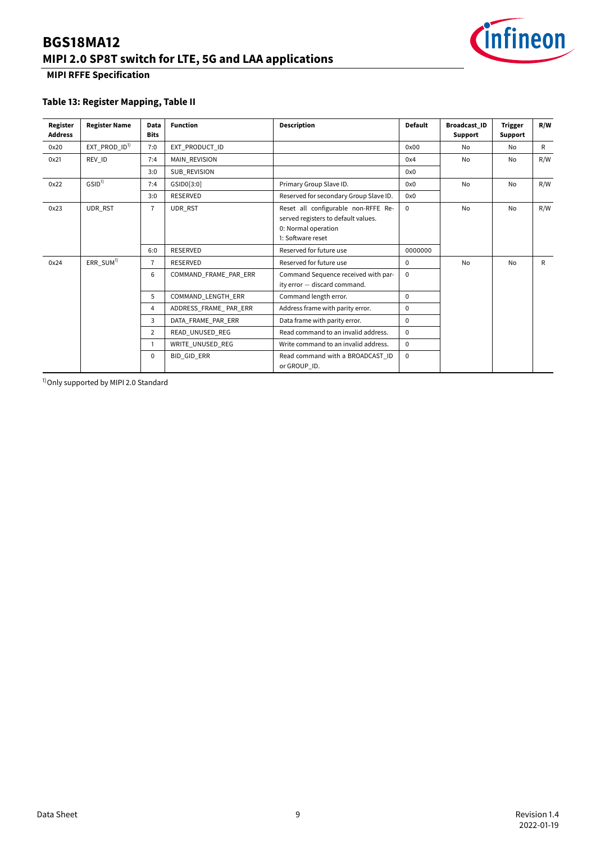

### **MIPI RFFE Specification**

### **Table 13: Register Mapping, Table II**

| Register<br><b>Address</b> | <b>Register Name</b>        | <b>Data</b><br><b>Bits</b> | <b>Function</b>       | <b>Description</b>                                                                                                     | <b>Default</b> | <b>Broadcast ID</b><br>Support | <b>Trigger</b><br>Support | R/W |
|----------------------------|-----------------------------|----------------------------|-----------------------|------------------------------------------------------------------------------------------------------------------------|----------------|--------------------------------|---------------------------|-----|
| 0x20                       | $EXT$ PROD_ID <sup>1)</sup> | 7:0                        | EXT PRODUCT ID        | 0x00                                                                                                                   | No             | No                             | R                         |     |
| 0x21                       | REV ID                      | 7:4                        | <b>MAIN REVISION</b>  |                                                                                                                        | 0x4            | <b>No</b>                      | No                        | R/W |
|                            |                             | 3:0                        | SUB REVISION          |                                                                                                                        | 0x0            |                                |                           |     |
| 0x22                       | GSID <sup>1</sup>           | 7:4                        | GSID0[3:0]            | Primary Group Slave ID.                                                                                                | 0x0            | <b>No</b>                      | No                        | R/W |
|                            |                             | 3:0                        | <b>RESERVED</b>       | Reserved for secondary Group Slave ID.                                                                                 | 0x0            |                                |                           |     |
| 0x23                       | UDR RST                     | $\overline{7}$             | UDR RST               | Reset all configurable non-RFFE Re-<br>served registers to default values.<br>0: Normal operation<br>1: Software reset | $\mathbf 0$    | <b>No</b>                      | <b>No</b>                 | R/W |
|                            |                             | 6:0                        | <b>RESERVED</b>       | Reserved for future use                                                                                                | 0000000        |                                |                           |     |
| 0x24                       | ERR SUM <sup>1)</sup>       | $\overline{7}$             | <b>RESERVED</b>       | Reserved for future use                                                                                                | $\Omega$       | <b>No</b>                      | No                        | R   |
|                            |                             | 6                          | COMMAND FRAME PAR ERR | Command Sequence received with par-<br>ity error - discard command.                                                    | $\Omega$       |                                |                           |     |
|                            |                             | 5                          | COMMAND LENGTH ERR    | Command length error.                                                                                                  | $\mathbf 0$    |                                |                           |     |
|                            |                             | 4                          | ADDRESS_FRAME_PAR_ERR | Address frame with parity error.                                                                                       | $\mathbf 0$    |                                |                           |     |
|                            |                             | 3                          | DATA FRAME PAR ERR    | Data frame with parity error.                                                                                          | $\mathbf 0$    |                                |                           |     |
|                            |                             | $\overline{2}$             | READ UNUSED REG       | Read command to an invalid address.                                                                                    | $\mathbf{0}$   |                                |                           |     |
|                            |                             | 1                          | WRITE UNUSED REG      | Write command to an invalid address.                                                                                   | $\Omega$       |                                |                           |     |
|                            |                             | 0                          | <b>BID GID ERR</b>    | Read command with a BROADCAST ID<br>or GROUP ID.                                                                       | $\Omega$       |                                |                           |     |

<sup>1)</sup> Only supported by MIPI 2.0 Standard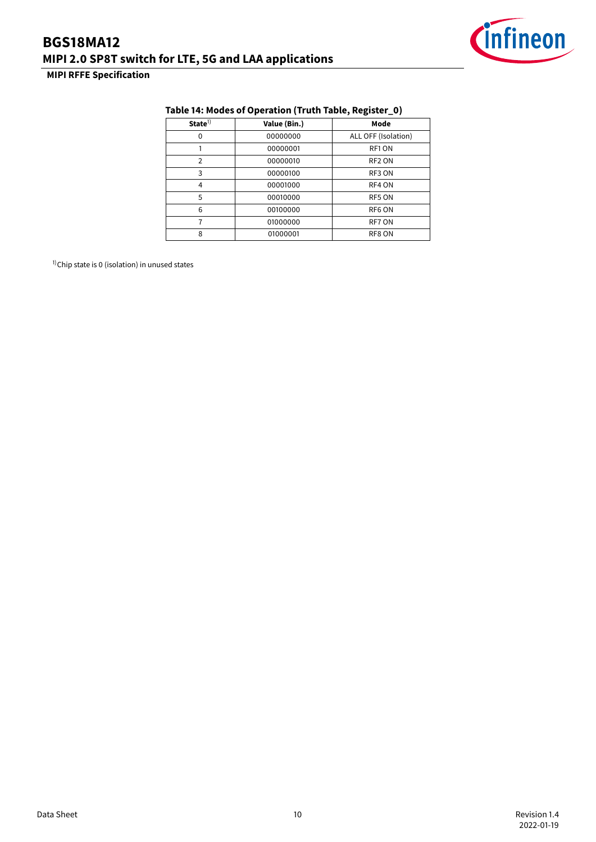

### **MIPI RFFE Specification**

| State <sup>1</sup> | Value (Bin.) | Mode                |  |  |  |  |  |
|--------------------|--------------|---------------------|--|--|--|--|--|
|                    | 00000000     | ALL OFF (Isolation) |  |  |  |  |  |
|                    | 00000001     | RF1 ON              |  |  |  |  |  |
| 2                  | 00000010     | RF <sub>2</sub> ON  |  |  |  |  |  |
| 3                  | 00000100     | RF3 ON              |  |  |  |  |  |
| 4                  | 00001000     | RF4 ON              |  |  |  |  |  |
| 5                  | 00010000     | RF5 ON              |  |  |  |  |  |
| 6                  | 00100000     | RF6 ON              |  |  |  |  |  |
|                    | 01000000     | RF7 ON              |  |  |  |  |  |

8 01000001 RF8 ON

### **Table 14: Modes of Operation (Truth Table, Register\_0)**

 $1)$ Chip state is 0 (isolation) in unused states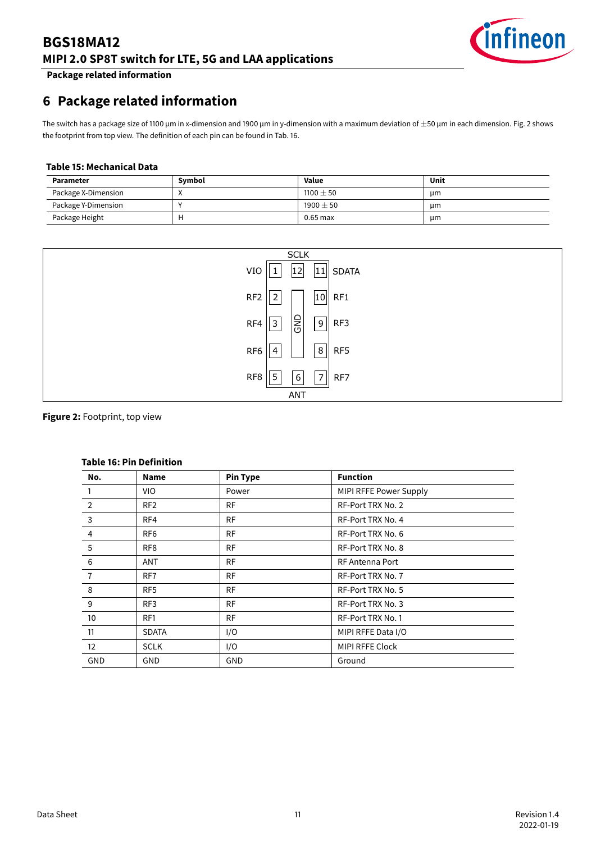

**Package related information**

# <span id="page-11-0"></span>**6 Package related information**

The switch has a package size of 1100 µm in x-dimension and 1900 µm in y-dimension with a maximum deviation of  $\pm$ 50 µm in each dimension. Fig. [2](#page-11-1) shows the footprint from top view. The definition of each pin can be found in Tab. [16.](#page-11-2)

#### **Table 15: Mechanical Data**

| <b>Parameter</b>    | Symbol | <b>Value</b> | Unit |
|---------------------|--------|--------------|------|
| Package X-Dimension |        | $1100 + 50$  | μm   |
| Package Y-Dimension |        | $1900 + 50$  | μm   |
| Package Height      |        | $0.65$ max   | μm   |

<span id="page-11-1"></span>

#### <span id="page-11-2"></span>**Figure 2:** Footprint, top view

| No.            | <b>Name</b>     | <b>Pin Type</b> | <b>Function</b>        |  |
|----------------|-----------------|-----------------|------------------------|--|
|                | VIO.            | Power           | MIPI RFFE Power Supply |  |
| $\overline{2}$ | RF <sub>2</sub> | <b>RF</b>       | RF-Port TRX No. 2      |  |
| 3              | RF4             | <b>RF</b>       | RF-Port TRX No. 4      |  |
| 4              | RF6             | <b>RF</b>       | RF-Port TRX No. 6      |  |
| 5              | RF <sub>8</sub> | <b>RF</b>       | RF-Port TRX No. 8      |  |
| 6              | ANT             | <b>RF</b>       | RF Antenna Port        |  |
| $\overline{7}$ | RF7             | <b>RF</b>       | RF-Port TRX No. 7      |  |
| 8              | RF <sub>5</sub> | <b>RF</b>       | RF-Port TRX No. 5      |  |
| 9              | RF3             | <b>RF</b>       | RF-Port TRX No. 3      |  |
| 10             | RF1             | <b>RF</b>       | RF-Port TRX No. 1      |  |
| 11             | <b>SDATA</b>    | I/O             | MIPI RFFE Data I/O     |  |
| 12             | <b>SCLK</b>     | I/O             | <b>MIPI RFFE Clock</b> |  |
| GND            | GND             | GND             | Ground                 |  |

### **Table 16: Pin Definition**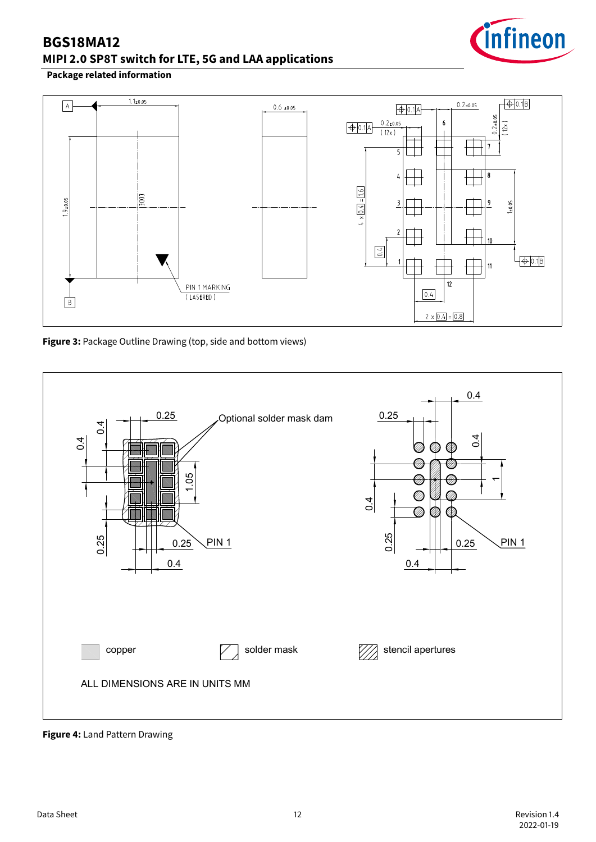

### **Package related information**



**Figure 3:** Package Outline Drawing (top, side and bottom views)



**Figure 4:** Land Pattern Drawing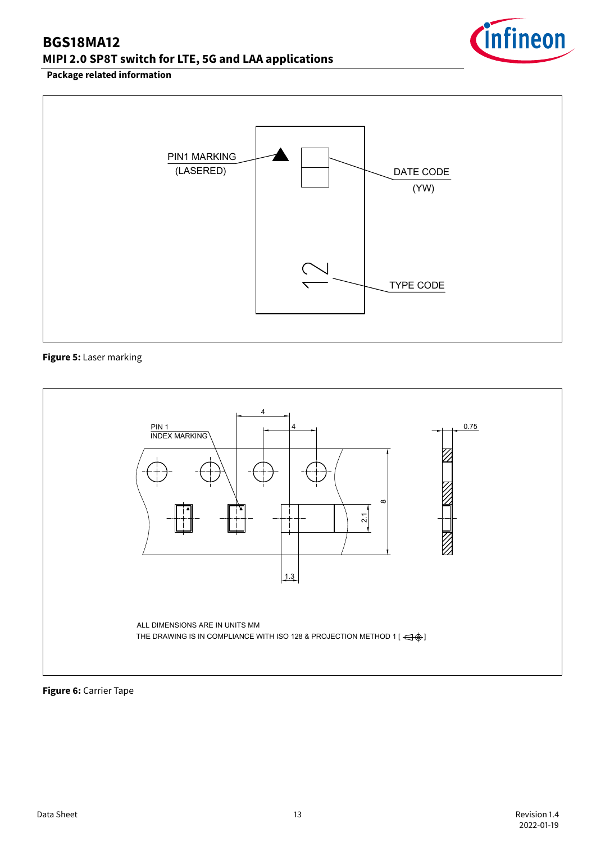

### **Package related information**



### **Figure 5:** Laser marking



### **Figure 6:** Carrier Tape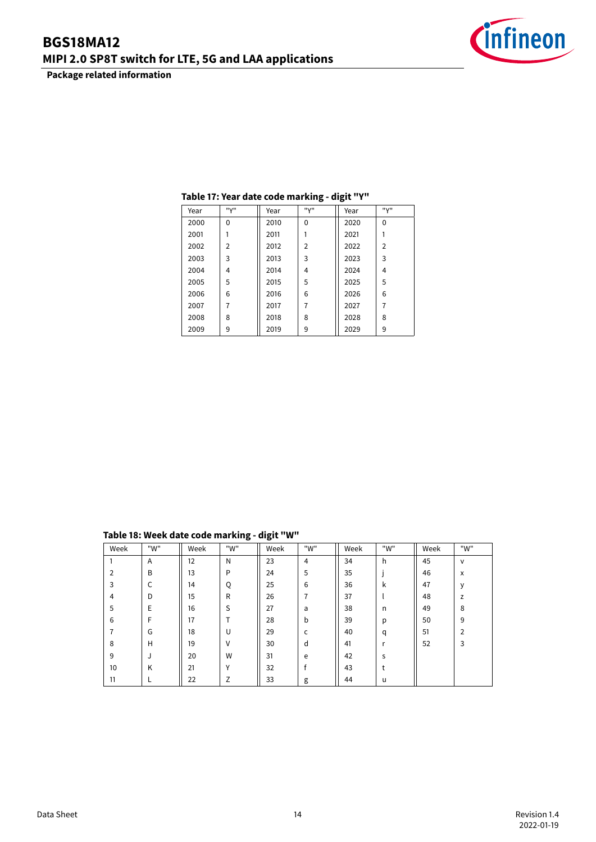**Package related information**



| Year | "V"      | Year | "V"            | Year | "V"            |
|------|----------|------|----------------|------|----------------|
| 2000 | $\Omega$ | 2010 | 0              | 2020 | $\Omega$       |
| 2001 |          | 2011 |                | 2021 |                |
| 2002 | 2        | 2012 | $\overline{2}$ | 2022 | $\overline{2}$ |
| 2003 | 3        | 2013 | 3              | 2023 | 3              |
| 2004 | 4        | 2014 | 4              | 2024 | 4              |
| 2005 | 5        | 2015 | 5              | 2025 | 5              |
| 2006 | 6        | 2016 | 6              | 2026 | 6              |
| 2007 | 7        | 2017 | 7              | 2027 | 7              |
| 2008 | 8        | 2018 | 8              | 2028 | 8              |
| 2009 | 9        | 2019 | 9              | 2029 | 9              |

### **Table 17: Year date code marking - digit "Y"**

**Table 18: Week date code marking - digit "W"**

| Week           | "W" | Week | "W"            | Week | "W" | Week | "W" | Week | "W"            |
|----------------|-----|------|----------------|------|-----|------|-----|------|----------------|
|                | Α   | 12   | N              | 23   | 4   | 34   | h   | 45   | v              |
| $\overline{2}$ | B   | 13   | P              | 24   | 5   | 35   |     | 46   | x              |
| 3              | C   | 14   | Q              | 25   | 6   | 36   | k   | 47   | v              |
| $\overline{4}$ | D   | 15   | R              | 26   | 7   | 37   |     | 48   | z              |
| 5              | E   | 16   | S              | 27   | a   | 38   | n   | 49   | 8              |
| 6              | F   | 17   | $\mathbf \tau$ | 28   | b   | 39   | p   | 50   | 9              |
| 7              | G   | 18   | U              | 29   | C   | 40   | q   | 51   | $\overline{2}$ |
| 8              | H   | 19   | V              | 30   | d   | 41   | r   | 52   | 3              |
| 9              | J   | 20   | W              | 31   | e   | 42   | S   |      |                |
| 10             | K   | 21   | v              | 32   |     | 43   | t   |      |                |
| 11             |     | 22   | Z              | 33   | g   | 44   | u   |      |                |